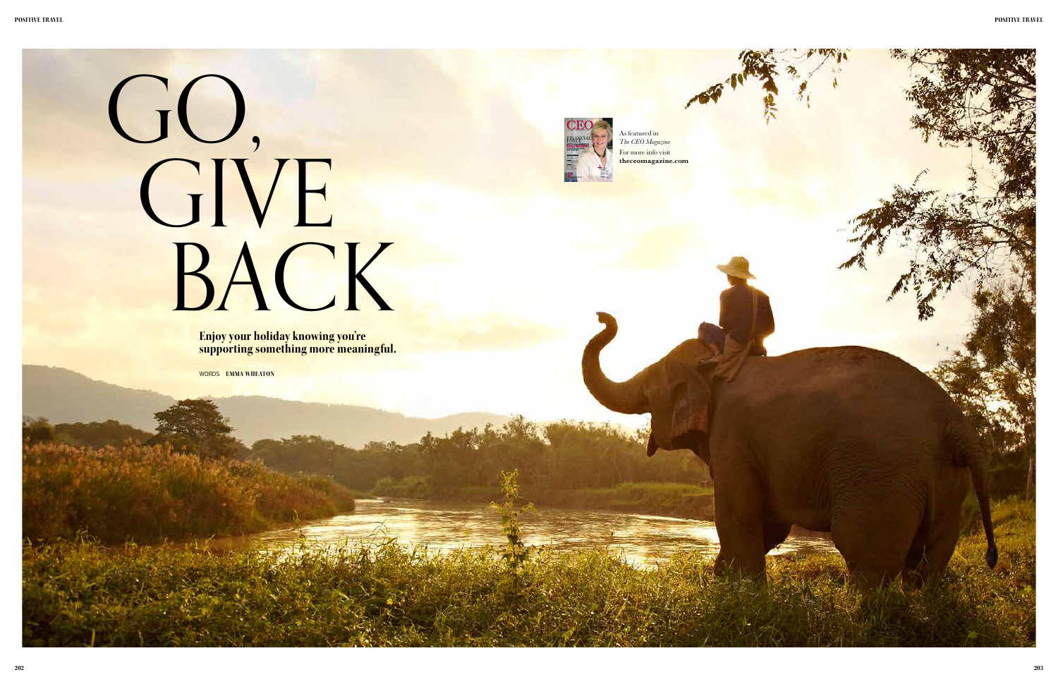**Enjoy your holiday knowing you're supporting something more meaningful.**

WORDS **EMMA WHEATON**

As featured in *The CEO Magazine* For more info visit **theceomagazine.com**



# GO, GIVE BACK

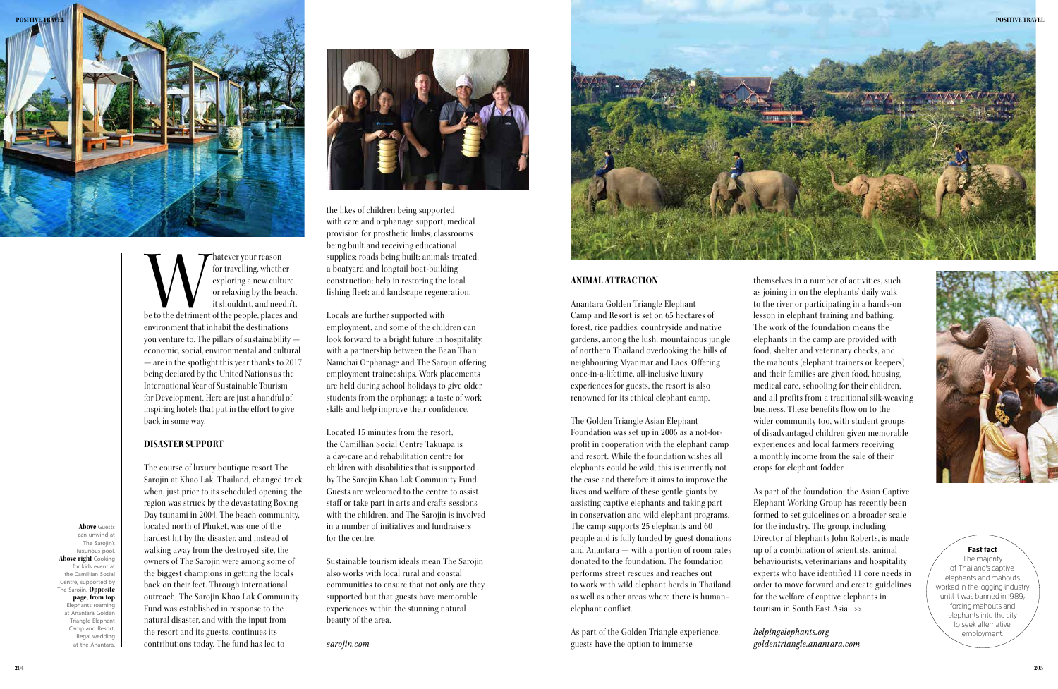**204 205**



Matever your reason<br>for travelling, whether<br>exploring a new culture<br>or relaxing by the beach,<br>it shouldn't, and needn't,<br>be to the detriment of the people, places and for travelling, whether exploring a new culture or relaxing by the beach, it shouldn't, and needn't, environment that inhabit the destinations you venture to. The pillars of sustainability economic, social, environmental and cultural — are in the spotlight this year thanks to 2017 being declared by the United Nations as the International Year of Sustainable Tourism for Development. Here are just a handful of inspiring hotels that put in the effort to give back in some way.

# **DISASTER SUPPORT**

The course of luxury boutique resort The Sarojin at Khao Lak, Thailand, changed track when, just prior to its scheduled opening, the region was struck by the devastating Boxing Day tsunami in 2004. The beach community, located north of Phuket, was one of the hardest hit by the disaster, and instead of walking away from the destroyed site, the owners of The Sarojin were among some of the biggest champions in getting the locals back on their feet. Through international outreach, The Sarojin Khao Lak Community Fund was established in response to the natural disaster, and with the input from the resort and its guests, continues its contributions today. The fund has led to



the likes of children being supported with care and orphanage support; medical provision for prosthetic limbs; classrooms being built and receiving educational supplies; roads being built; animals treated; a boatyard and longtail boat-building construction; help in restoring the local fishing fleet; and landscape regeneration.

Locals are further supported with employment, and some of the children can look forward to a bright future in hospitality, with a partnership between the Baan Than Namchai Orphanage and The Sarojin offering employment traineeships. Work placements are held during school holidays to give older students from the orphanage a taste of work skills and help improve their confidence.

Located 15 minutes from the resort, the Camillian Social Centre Takuapa is a day-care and rehabilitation centre for children with disabilities that is supported by The Sarojin Khao Lak Community Fund. Guests are welcomed to the centre to assist staff or take part in arts and crafts sessions with the children, and The Sarojin is involved in a number of initiatives and fundraisers for the centre.

Sustainable tourism ideals mean The Sarojin also works with local rural and coastal communities to ensure that not only are they supported but that guests have memorable experiences within the stunning natural beauty of the area.

*sarojin.com*

## **ANIMAL ATTRACTION**

Anantara Golden Triangle Elephant Camp and Resort is set on 65 hectares of forest, rice paddies, countryside and native gardens, among the lush, mountainous jungle of northern Thailand overlooking the hills of neighbouring Myanmar and Laos. Offering once-in-a-lifetime, all-inclusive luxury experiences for guests, the resort is also renowned for its ethical elephant camp.

The Golden Triangle Asian Elephant Foundation was set up in 2006 as a not-forprofit in cooperation with the elephant camp and resort. While the foundation wishes all elephants could be wild, this is currently not the case and therefore it aims to improve the lives and welfare of these gentle giants by assisting captive elephants and taking part in conservation and wild elephant programs. The camp supports 25 elephants and 60 people and is fully funded by guest donations and Anantara — with a portion of room rates donated to the foundation. The foundation performs street rescues and reaches out to work with wild elephant herds in Thailand as well as other areas where there is human– elephant conflict.

As part of the Golden Triangle experience, guests have the option to immerse

themselves in a number of activities, such as joining in on the elephants' daily walk to the river or participating in a hands-on lesson in elephant training and bathing. The work of the foundation means the elephants in the camp are provided with food, shelter and veterinary checks, and the mahouts (elephant trainers or keepers) and their families are given food, housing, medical care, schooling for their children, and all profits from a traditional silk-weaving business. These benefits flow on to the wider community too, with student groups of disadvantaged children given memorable experiences and local farmers receiving a monthly income from the sale of their crops for elephant fodder.

As part of the foundation, the Asian Captive Elephant Working Group has recently been formed to set guidelines on a broader scale for the industry. The group, including Director of Elephants John Roberts, is made up of a combination of scientists, animal behaviourists, veterinarians and hospitality experts who have identified 11 core needs in order to move forward and create guidelines for the welfare of captive elephants in tourism in South East Asia. >>

*helpingelephants.org goldentriangle.anantara.com* 



**Above** Guests can unwind at The Sarojin's luxurious pool. **Above right** Cooking for kids event at the Camillian Social Centre, supported by The Sarojin. **Opposite page, from top**  Elephants roaming at Anantara Golden Triangle Elephant Camp and Resort; Regal wedding at the Anantara.

**Fast fact**

The majority of Thailand's captive elephants and mahouts worked in the logging industry until it was banned in 1989, forcing mahouts and elephants into the city to seek alternative employment.